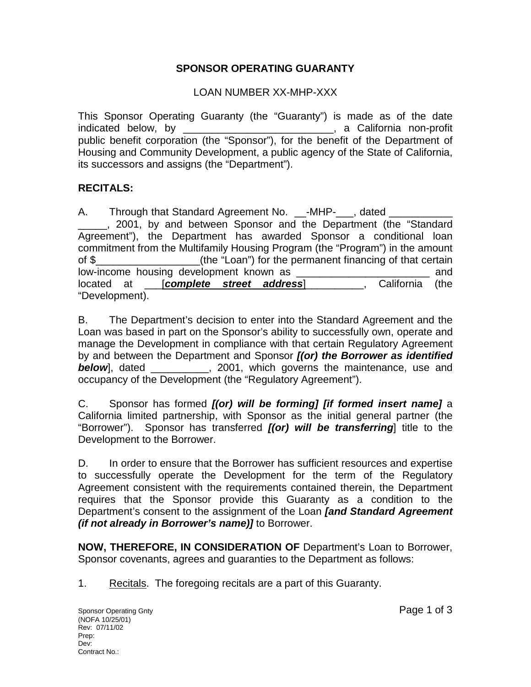## **SPONSOR OPERATING GUARANTY**

## LOAN NUMBER XX-MHP-XXX

 public benefit corporation (the "Sponsor"), for the benefit of the Department of This Sponsor Operating Guaranty (the "Guaranty") is made as of the date indicated below, by \_\_\_\_\_\_\_\_\_\_\_\_\_\_\_\_\_\_\_\_\_\_\_\_\_\_\_, a California non-profit Housing and Community Development, a public agency of the State of California, its successors and assigns (the "Department").

## **RECITALS:**

A. Through that Standard Agreement No. \_\_-MHP-\_\_\_, dated \_\_\_\_\_, 2001, by and between Sponsor and the Department (the "Standard Agreement"), the Department has awarded Sponsor a conditional loan commitment from the Multifamily Housing Program (the "Program") in the amount of \$\_\_\_\_\_\_\_\_\_\_\_\_\_\_\_\_\_\_(the "Loan") for the permanent financing of that certain low-income housing development known as \_\_\_\_\_\_\_\_\_\_\_\_\_\_\_\_\_\_\_\_\_\_\_\_\_\_\_\_\_\_\_\_\_ and located at [*complete street address*] \_\_\_\_\_\_\_, California (the "Development).

occupancy of the Development (the "Regulatory Agreement"). B. The Department's decision to enter into the Standard Agreement and the Loan was based in part on the Sponsor's ability to successfully own, operate and manage the Development in compliance with that certain Regulatory Agreement by and between the Department and Sponsor *[(or) the Borrower as identified*  **below**, dated \_\_\_\_\_\_\_\_, 2001, which governs the maintenance, use and

C. Sponsor has formed *[(or) will be forming] [if formed insert name]* a California limited partnership, with Sponsor as the initial general partner (the "Borrower"). Sponsor has transferred *[(or) will be transferring*] title to the Development to the Borrower.

D. In order to ensure that the Borrower has sufficient resources and expertise to successfully operate the Development for the term of the Regulatory Agreement consistent with the requirements contained therein, the Department requires that the Sponsor provide this Guaranty as a condition to the Department's consent to the assignment of the Loan *[and Standard Agreement (if not already in Borrower's name)]* to Borrower.

**NOW, THEREFORE, IN CONSIDERATION OF** Department's Loan to Borrower, Sponsor covenants, agrees and guaranties to the Department as follows:

1. Recitals. The foregoing recitals are a part of this Guaranty.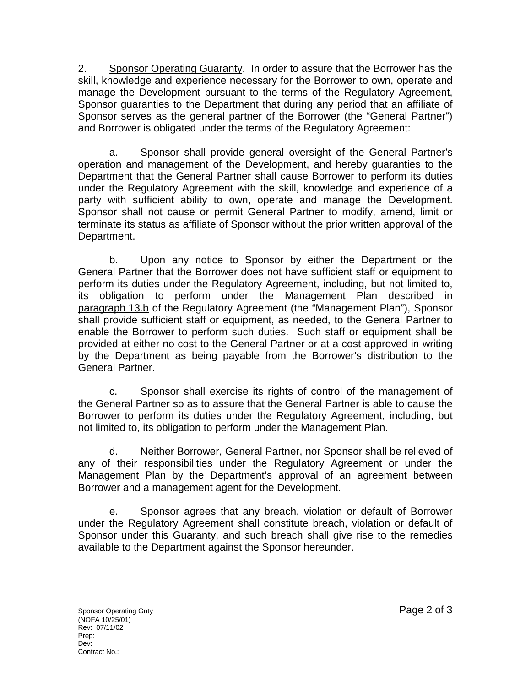2. Sponsor Operating Guaranty. In order to assure that the Borrower has the skill, knowledge and experience necessary for the Borrower to own, operate and manage the Development pursuant to the terms of the Regulatory Agreement, Sponsor guaranties to the Department that during any period that an affiliate of Sponsor serves as the general partner of the Borrower (the "General Partner") and Borrower is obligated under the terms of the Regulatory Agreement:

party with sufficient ability to own, operate and manage the Development.<br>Sponsor shall not cause or permit General Partner to modify, amend, limit or Sponsor shall not cause or permit General Partner to modify, amend, limit or a. Sponsor shall provide general oversight of the General Partner's operation and management of the Development, and hereby guaranties to the Department that the General Partner shall cause Borrower to perform its duties under the Regulatory Agreement with the skill, knowledge and experience of a terminate its status as affiliate of Sponsor without the prior written approval of the Department.

b. Upon any notice to Sponsor by either the Department or the General Partner that the Borrower does not have sufficient staff or equipment to perform its duties under the Regulatory Agreement, including, but not limited to, its obligation to perform under the Management Plan described in paragraph 13.b of the Regulatory Agreement (the "Management Plan"), Sponsor shall provide sufficient staff or equipment, as needed, to the General Partner to enable the Borrower to perform such duties. Such staff or equipment shall be provided at either no cost to the General Partner or at a cost approved in writing by the Department as being payable from the Borrower's distribution to the General Partner.

c. Sponsor shall exercise its rights of control of the management of the General Partner so as to assure that the General Partner is able to cause the Borrower to perform its duties under the Regulatory Agreement, including, but not limited to, its obligation to perform under the Management Plan.

d. Neither Borrower, General Partner, nor Sponsor shall be relieved of any of their responsibilities under the Regulatory Agreement or under the Management Plan by the Department's approval of an agreement between Borrower and a management agent for the Development.

e. Sponsor agrees that any breach, violation or default of Borrower under the Regulatory Agreement shall constitute breach, violation or default of Sponsor under this Guaranty, and such breach shall give rise to the remedies available to the Department against the Sponsor hereunder.